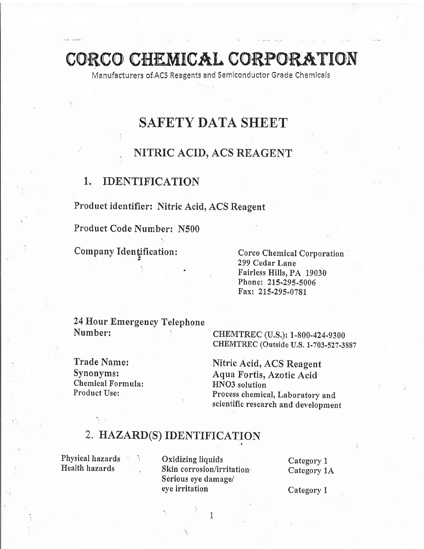# CORCO CHEMICAL CORPORATION

Manufacturers of.ACS Reagents and Semlconductor Grade Chemlcals

## SAFETY DATA SHEET

### NITRIC ACID, ACS REAGENT

### 1, IDENTIFICATION

Product identifier; Nitric Acid, ACS Reagent

Product Code Nurnber: N500

Company Identification: Corco Chemical Corporation (Corco Chemical Corporation 299 Cedar Lane Indiana) Phonel 215-295-5006 Faxl 215-295-0781

24 Hour Emergency Telephone Number: 1 CHEMTREC (U,S.): 1-800-424-9300

Chemical Formula:<br>Product Use:

CHEMTREC (Outside U.S. 1-703-527-3887

Trade Name: Nitric Acid, ACS Reagent<br>
Synonyms: Aqua Fortis, Azotic Acid<br>
Chemical Formula: HNO3 solution Process chemical, Laboratory and scientific research and development

## 2. HAZARD(S) IDENTIFICATION

Physical hazards 'r Oxidizing liquids Category 1<br>
Health hazards Skin corrosion/irritation Category 1 Skin corrosion/irritation, Category 1A Serious eye damage/ eye irritation Category 1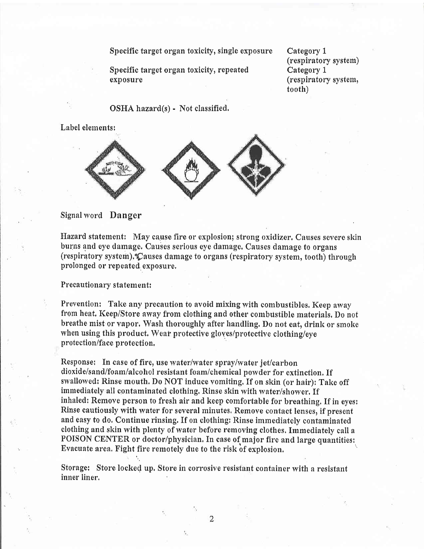Specific target organ toxicify, single exposure

Specific target organ toxicity, repeated exposure

Category <sup>1</sup> (respiratory system) Category <sup>1</sup> (respiratory system, tooth)

OSHA hazard(s) - Not classified,

Label elements:



Signal word Danger

Hazard statement: May cause fire or explosion; strong oxidizer, Causes severe skin burns and eye damage. Causes serious eye damage. Causes damage to organs (respiratory system), Causes damage to organs (respiratory system, tooth) through prolonged or repeated exposure,

Precautionary statement:

Prevention: Take any precaution to avoid mixing with combustibles, Keep away from heat, Keep/Store away from clothing and other combustible materials, Do not breathe mist or vapor. Wash thoroughly after handling. Do not eat, drink or smoke when using this product. Wear protective gloves/protective clothing/eye protection/face protection,

Response: In case of fire, use water/water spray/water jet/carbon dioxide/sand/foam/alcohol resistant foam/chemical powder for extinction. If swallowed: Rinse mouth. Do NOT induce vomiting, If on skin (or hair): Take off immediately all contaminated clothing. Rinse skin with water/shower. If inhaled: Remove person to fresh air and keep comfortable for breathing. If in eyes: Rinse cautiously with water for several minutes, Remove contact lenses, if present and easy to do. Continue rinsing. If on clothing: Rinse immediately contaminated clothing and skin with plenty of water before removing clothes. Immediately call <sup>a</sup> POISON CENTER or doctor/physician. In case of major fire and large quantities: Evacuate area. Fight fire remotely due to the risk of explosion.

Storage: Store locked up. Store in corrosive resistant container with a resistant inner liner.

 $\overline{2}$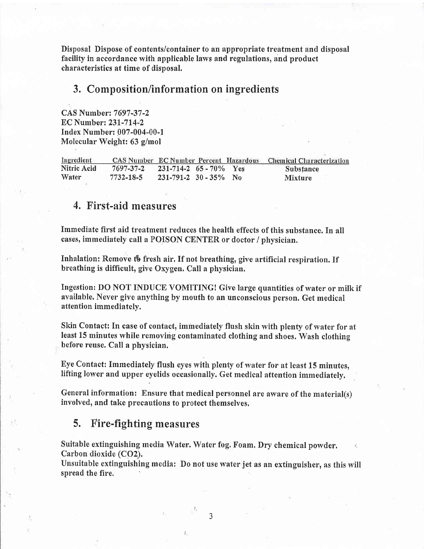Disposal Dispose of contents/container to an appropriate treatment and disposal facility in accordance with applicable laws and regulations, and product characteristics at time of disposal.

#### 3, Composition/information on ingredients

CAS Number: 7697-37-2 EC Number: 231-714-2 Index Number: 007-004-00-1 Molecular Weight: 63 g/mol

| Ingredient  | <b>CAS Number EC Number Percent Hazardous</b> |                             |  | <b>Chemical Characterization</b> |
|-------------|-----------------------------------------------|-----------------------------|--|----------------------------------|
| Nitric Acid | $7697-37-2$ 231-714-2 65 - 70% Yes            |                             |  | Substance                        |
| Water       | 7732-18-5                                     | $231 - 791 - 2$ 30 - 35% No |  | <b>Mixture</b>                   |

### 4, First-aid measures

Immediate first aid treatment reduces the health effects of this substance. In all cases, immediately call a POISON CENTER or doctor / physician.

Inhalation: Remove to fresh air. If not breathing, give artificial respiration. If breathing is difficult, give Oxygen, Call a physician.

Ingestion: DO NOT INDUCE VOMITING! Give large quantities of water or milk if available, Never give anything by mouth to an unconscious person. Get medical attention immediately.

Skin Contact: In case of contact, immediately flush skin with plenty of water for at least 15 minutes while removing contaminated clothing and shoes. Wash clothing before reuse. Call a physician.

Eye Contact: Immediately flush eyes with plenty of water for at least 15 minutes, lifting lower and upper eyelids occasionally. Get medical attention immediately,

General information: Ensure that medical personnel are aware of the material(s) involved, and take precautions to protect themselves.

#### 5. Fire-fighting measures

Suitable extinguishing media Water. Water fog, Foam, Dry chemical powder, Carbon dioxide (CO2).

Unsuitable extinguishing media: Do not use water jet as an extinguisher, as this will spread the fire.

 $\overline{3}$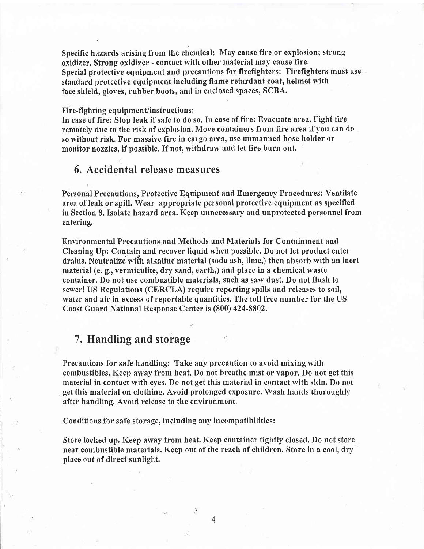Specific hazards arising from the chemical: May cause fire or explosion; strong oxidizer. Strong oxidizer - contact with other material may cause fire, Special protective equipment and precautions for firefighters: Firefighters must use standard protective equipment including flame retardant coat, helmet with face shield, gloves, rubber boots, and in enclosed spaces, SCBA.

#### Fire-fighting equipment/instructions:

In case of fire: Stop leak if safe to do so, In case of fire: Evacuate area. Fight fire remotely due to the risk of explosion, Move containers from fire area if you can do so without risk, For massive fire in cargo area, use unmanned hose holder or monitor nozzles, if possible. If not, withdraw and let fire burn out.

#### 6. Accidental release measures

Personal Precautions, Protective Equipment and Emergency Procedures: Ventilate area of leak or spill. Wear appropriate personal protective equipment as specified in Section 8, Isolate hazard area. Keep unnecessary and unprotected personnel from entering,

Environmental Precautions rand Methods and Materials for Containment and Cleaning Up: Contain and recover liquid when possible. Do not let product enter drains. Neutralize with alkaline material (soda ash, lime,) then absorb with an inert material (e. g., vermiculite, dry sand, earth,) and place in a chemical waste container. Do not use combustible materials, such as saw dust. Do not flush to sewer! US Regulations (CERCLA) require reporting spills and releases to soil, water and air in excess of reportable quantities, The toll free number for the US Coast Guard National Response Center is (800) 424-8802,

### 7. Handling and storage :

Precautions for safe handling: Take any precaution to avoid mixing with combustibles. Keep away from heat. Do not breathe mist or vapor. Do not get this material in contact with eyes. Do not get this material in contact with skin. Do not get this material on clothing. Avoid prolonged exposure. Wash hands thoroughly after handling. Avoid release to the environment,

Conditions for safe storage, including any incompatibilities:

Store locked up. Keep away from heat. Keep container tightly closed. Do not store , near combustible materials. Keep out of the reach of children. Store in a cool, dry place out of direct sunlight.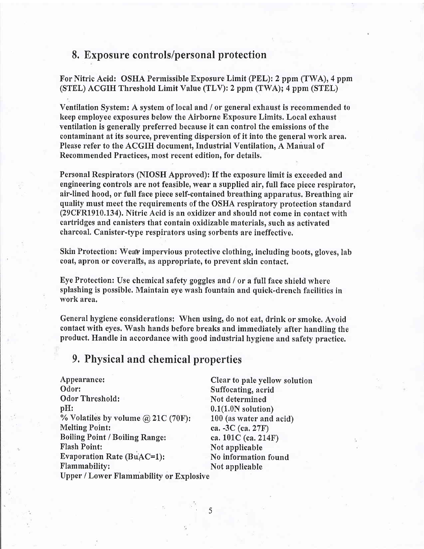#### 8. Exposure controls/personal protection

For Nitric Acid: OSHA Permissible Exposure Limit (PEL): 2 ppm (TWA), 4 ppm  $(STEL) ACGIH Threshold Limit Value (TLV): 2 ppm (TWA); 4 ppm (STEL)$ 

Ventilation System: A system of local and / or general exhaust is recommended to keep employee exposures below the Airborne Exposure Limits. Local exhaust ventilation is generally preferred because it can control the emissions of the contaminant at its source, preventing dispersion of it into the general work area, Please refer to the ACGIH document, Industrial Ventilation, A Manual of Recommended Practices, most recent edition, for details,

Personal Respirators (NIOSH Approved): If the exposure limit is exceeded and engineering controls are not feasible, wear a supplied air, full face piece respirator, air-lined hood, or full face piece self-contained breathing apparatus. Breathing air quality must meet the requirements of the OSHA respiratory protection standard (29CFR1910.134), Nitric Acid is an oxidizer and should not come in contact with cartridges and canisters that contain oxidizable materials, such as activated charcoal, Canister-type respirators using sorbents are ineffective,

Skin Protection: Wear impervious protective clothing, including boots, gloves, lab coat, apron or coveralts, as appropriate, to prevent skin contact.

Eye Protection: Use chemical safety goggles and / or a full face shield where splashing is possible. Maintain eye wash fountain and quick-drench facilities in work area,

General hygiene considerations: When using, do not eat, drink or smoke. Avoid contact with eyes. Wash hands before breaks and immediately after handling the product. Handle in accordance with good industrial hygiene and safety practice.

#### 9. Physical and chemical properties

Appearance: Clear to pale yellow solution<br>
Odor: Suffocating, acrid<br>
Odor Threshold: Not determined Odor Threshold: Not determined<br>
pH: 0.1(1,0N solution) pH:  $0.1(1.0N \text{ solution})$ <br>% Volatiles by volume @ 21C (70F):  $100 \text{ (as water and acid)}$ <br>Melting Point:  $0.27F$ ) Boiling Point / Boiling Range: ca. 101C (ca. 214F) Flash Point: Not applicable Evaporation Rate (BuAC=1): No information found Flammability: Not applicable

ca. -3C (ca. 27F)

Upper / Lower Flammability or Explosive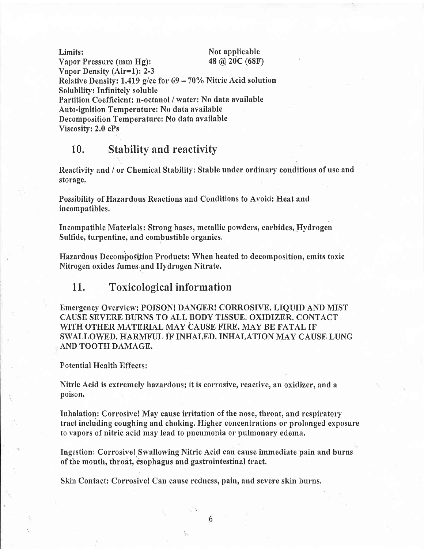Limits: Not applicable<br>Vapor Pressure (mm Hg): 48 @ 20C (68F) Vapor Pressure (mm Hg): Vapor Density (Air=l): 2-3 Relative Density: 1.419 g/cc for  $69 - 70\%$  Nitric Acid solution Solubility: Infinitely soluble Partition Coefficient: n-octanol / water: No data available Auto-ignition Temperature: No data available Decomposition Temperature: No data available Viscosity: 2.0 cPs

#### 10. Stability and reactivity

Reactivity and / or Chemical Stability: Stable under ordinary conditions of use and storage.

Possibility of.Hazardous Reactions and Conditions to Avoid: Heat and incompatibles.

Incompatible Materials: Strong bases, metallic powders, carbides, Hydrogen Sulfide, turpentine, and combustible organics,

Hazardous Decomposition Products: When heated to decomposition, emits toxic Nitrogen oxides fumes and Hydrogen Nitrate.

#### 11. Toxicological information

Emergency Overview: POISON! DANGER! CORROSIVE. LIQUID AND MIST CAUSE SEVERE BURNS TO ALL BODY TISSUE. OXIDIZER. CONTACT WITH OTHER MATERIAL MAY CAUSE FIRE. MAY BE FATAL IF SWALLOWED. HARMFUL IF INHALED. INHALATION MAY CAUSE LUNG AND TOOTH DAMAGE.

#### Potential Health Effects:

Nitric Acid is extremely hazardous; it is corrosive, reactive, an oxidizer, and a poison.

Inhalation: Corrosive! May cause irritation of the nose, throat, and respiratory tract including coughing and choking. Higher concentrations or prolonged exposure to vapors of nitric acid may lead to pneumonia or pulmonary edema.

Ingestion: Corrosive! Swallowing Nitric Acid can cause immediate pain and burns of the mouth, throat, esophagus and gastrointestinal tract,

Skin Contact: Corrosive! Can cause redness, pain, and severe skin burns.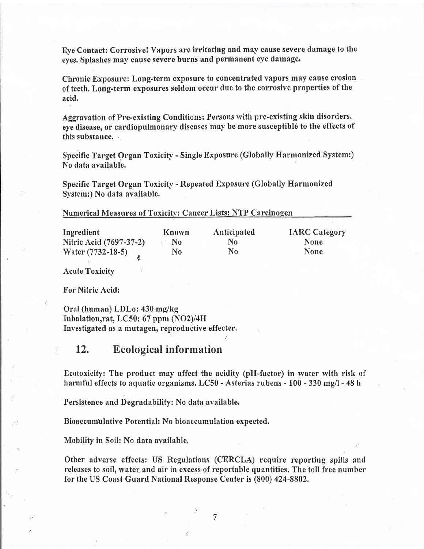Eye Contact: Corrosive! Vapors are irritating and may cause severe damage to the eyes, Splashes may cause severe burns and permanent eye damage,

Chronic Exposure: Long-term exposure to concentrated vapors may cause erosion of teeth. Long-term exposures seldom occur due to the corrosive properties of the acid,

Aggravation of Pre-existing Conditions: Persons with pre-existing skin disorders, eye disease, or cardiopulmonary diseases may be more susceptible to the effects of this substance.

Specific Target Organ Toxicity - Single Exposure (Globally Harmonized System:) No data available,

Specific Target Organ Toxicity - Repeated Exposure (Globally Harmonized System:) No data available.

| <b>Numerical Measures of Toxicity: Cancer Lists: NTP Carcinogen</b> |  |
|---------------------------------------------------------------------|--|
|---------------------------------------------------------------------|--|

| Ingredient              | Known       | Anticipated | <b>IARC Category</b> |
|-------------------------|-------------|-------------|----------------------|
| Nitric Acid (7697-37-2) | $\cdot$ No. | No          | None                 |
| Water (7732-18-5)       | $\bf No$    | N0          | <b>None</b>          |

Acute Toxicity :

For Nitric Acid:

Oral (human) LDLo: 430 mg/kg Inhalation,rat, LC50: 67 ppm (NO2)/4H Investigated as a mutagen, reproductive effecter.

#### 12, Ecological information

Ecotoxicify: The product may affect the acidity (pH-factor) in water with risk of harmful effects to aquatic organisms. LC50 - Asterias rubens - 100 - 330 mg/l - 48 h

Persistence and Degradability: No data available.

Bioaccumulative Potential: No bioaccumulation expected.

Mobility in Soil: No data available,

Other adverse effects: US Regulations (CERCLA) require reporting spills and releases to soil, water and air in excess of reportable quantities. The toll free number for the US Coast Guard National Response Center is (800) 424-8802,

 $\overline{7}$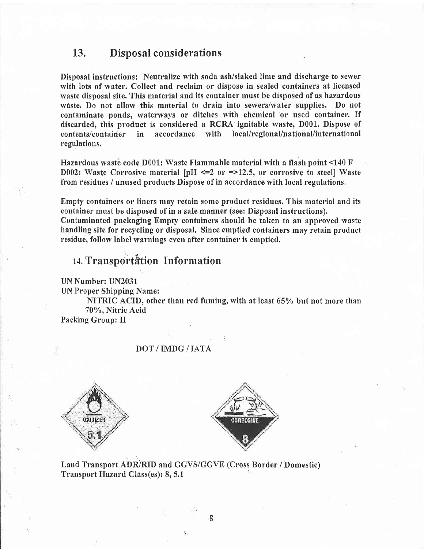#### Disposal considerations 13.

Disposal instructions: Neutralize with soda ash/slaked lime and discharge to sewer with lots of water. Collect and reclaim or dispose in sealed containers at licensed waste disposal site. This material and its container must be disposed of as hazardous waste, Do not allow this material to drain into sewers/water supplies. Do not contaminate ponds, waterways or ditches with chemical or used container. If discarded, this product is considered a RCRA ignitable waste, D001, Dispose of local/regional/national/international regulations.

Hazardous waste code D001: Waste Flammable material with a flash point <140 F D002: Waste Corrosive material  $\text{pH} \leq 2$  or  $\text{m} \leq 12.5$ , or corrosive to steell Waste from residues / unused products Dispose of in accordance with local regulations,

Empfy containers or Iiners may retain some product residues. This material and its container must be disposed of in a safe manner (see: Disposal instructions). Contaminated packaging Empty containers should be taken to an approved waste handling site for recycling or disposal. Since emptied containers may retain product residue, follow label warnings even after container is emptied,

### 14. Transportation Information

UN Number: UN2031

UN Proper Shipping Name;

NITRIC ACID, other than red fuming, with at least 65% but not more than 70%, Nitric Acid

Packing Group: II

#### DOT/IMDG/IATA





Land Transport ADR/RID and GGVS/GGVE (Cross Border / Domestic) Transport Hazard Class(es): 8, 5.1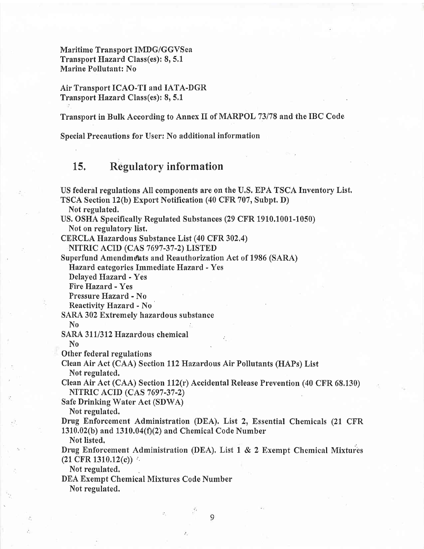Maritime Transport IMDG/GGVSea Transport Hazard Class(es): 8, 5.1 Marine Pollutant: No

Air Transport ICAO-TI and IATA-DGR Transport Hazard Class(es): 8, 5,1

Transport in Bulk According to Annex II of MARPOL 73178 and the IBC Code

Special Precautions for User: No additional information

#### 15, Regulatory information

US federal regulations All components are on the U.S. EPA TSCA Inventory List. TSCA Section 12(b) Export Notification (40 CFR 707, Subpt. D)

Not regulated,

US, OSHA Specifically Regulated Substances (29 CFR 1910,1001-1050) Not on regulatory list.

CERCLA Hazardous Substance List (40 CFR 302.4)

NITRIC ACID (CAS 7697-37-2) LISTED

Superfund Amendin&ts and Reauthorization Act of 1986 (SARA)

Hazard categories Immediate Hazard - Yes

Delayed Hazard - Yes

Fire Hazard - Yes

Pressure Hazard - No

Reactivity Hazard - No

SARA 302 Extremely hazardous substance

No

SARA 311/312 Hazardous chemical

No

Other federal regulations

Clean Air Act (CAA) Section ll2Hazardous Air Pollutants (HAPs) List Not regulated.

Clean Air Act (CAA) Section ll2(r) Accidental Release Prevention (40 CFR 68.130) NITRIC ACID (CAS 7697-37-2)

Safe Drinking Water Act (SDWA)

Not regulated.

Drug Enforcement Administration (DEA). List 2, Essential Chemicals (21 CFR  $1310.02(b)$  and  $1310.04(f)(2)$  and Chemical Code Number

Not listed.

Drug Enforcement Administration (DEA), List 1 & 2 Exempt Chemical Mixtures  $(21 \text{ CFR } 1310.12(c))$ 

Not regulated.

DEA Exempt Chemical Mixtures Code Number

Not regulated.

á.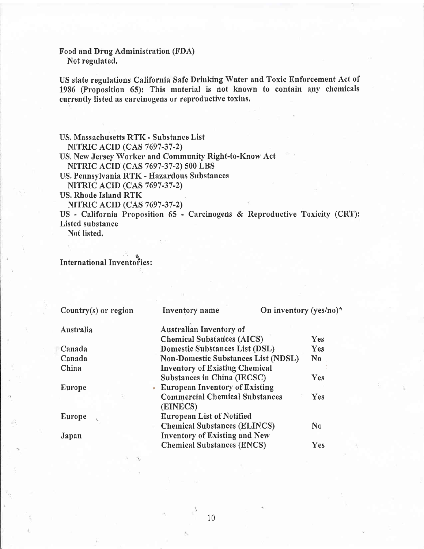#### Food and Drug Administration (FDA) Not regulated.

US state regulations California Safe Drinking Water and Toxic Enforcement Act of 1986 (Proposition 65): This material is not known to contain apy chemicals currently listed as carcinogens or reproductive toxins,

US. Massachusetts RTK - Substance List NITRIC ACID (CAS 7697-37-2) US. New Jersey Worker and Community Right-to-Know Act NITRIC ACID (CAS 7697-37-2) 500 LBS US. Pennsylvania RTK - Hazardous Substances

NITRIC ACID (CAS 7697-37-2)

US. Rhode Island RTK

NITRIC ACID (CAS 7697-37-2)

US - California Proposition 65 - Carcinogens & Reproductive Toxicity (CRT): Listed substance

Not listed.

#### International Inventories:

| Country $(s)$ or region | Inventory name                              | On inventory $(yes/no)^*$ |  |
|-------------------------|---------------------------------------------|---------------------------|--|
| Australia               | <b>Australian Inventory of</b>              |                           |  |
|                         | <b>Chemical Substances (AICS)</b>           | Yes                       |  |
| Canada                  | Domestic Substances List (DSL)              | Yes                       |  |
| Canada                  | <b>Non-Domestic Substances List (NDSL)</b>  | No                        |  |
| China                   | <b>Inventory of Existing Chemical</b>       |                           |  |
|                         | Substances in China (IECSC)                 | Yes                       |  |
| Europe                  | <b>European Inventory of Existing</b><br>y. |                           |  |
|                         | <b>Commercial Chemical Substances</b>       | Yes                       |  |
|                         | (EINECS)                                    |                           |  |
| <b>Europe</b>           | <b>European List of Notified</b>            |                           |  |
|                         | <b>Chemical Substances (ELINCS)</b>         | $\mathbf{N}$ <sub>0</sub> |  |
| Japan                   | <b>Inventory of Existing and New</b>        |                           |  |
|                         | <b>Chemical Substances (ENCS)</b>           | Yes                       |  |
|                         |                                             |                           |  |